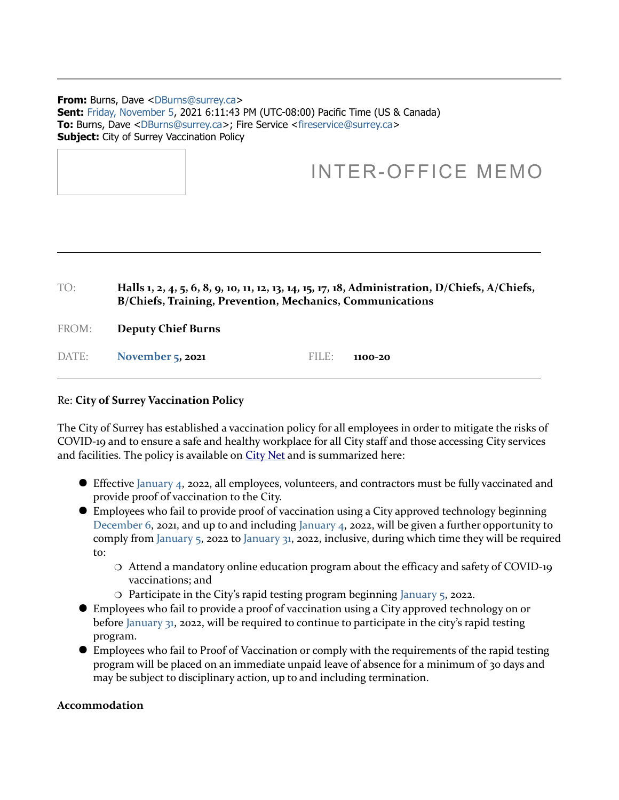#### **From: Burns, Dave <DBurns@surrey.ca> Sent:** Friday, November 5, 2021 6:11:43 PM (UTC-08:00) Pacific Time (US & Canada) **To:** Burns, Dave <DBurns@surrey.ca>; Fire Service <fireservice@surrey.ca> **Subject:** City of Surrey Vaccination Policy

# INTER-OFFICE MEMO

| $T\bigcap \cdot$ | Halls 1, 2, 4, 5, 6, 8, 9, 10, 11, 12, 13, 14, 15, 17, 18, Administration, D/Chiefs, A/Chiefs,<br>B/Chiefs, Training, Prevention, Mechanics, Communications |       |         |
|------------------|-------------------------------------------------------------------------------------------------------------------------------------------------------------|-------|---------|
| FROM:            | <b>Deputy Chief Burns</b>                                                                                                                                   |       |         |
| DATE:            | <b>November 5, 2021</b>                                                                                                                                     | FILE: | 1100-20 |

## Re: **City of Surrey Vaccination Policy**

The City of Surrey has established a vaccination policy for all employees in order to mitigate the risks of COVID-19 and to ensure a safe and healthy workplace for all City staff and those accessing City services and facilities. The policy is available on [City Net](https://citynet.surrey.ca/working_here/health_safety/COVID-19/Documents/Employee%20COVID-19%20Vaccination%20Policy.pdf) and is summarized here:

- Effective January 4, 2022, all employees, volunteers, and contractors must be fully vaccinated and provide proof of vaccination to the City.
- Employees who fail to provide proof of vaccination using a City approved technology beginning December 6, 2021, and up to and including January 4, 2022, will be given a further opportunity to comply from January 5, 2022 to January 31, 2022, inclusive, during which time they will be required to:
	- Attend a mandatory online education program about the efficacy and safety of COVID-19 vaccinations; and
	- Participate in the City's rapid testing program beginning January 5, 2022.
- Employees who fail to provide a proof of vaccination using a City approved technology on or before January 31, 2022, will be required to continue to participate in the city's rapid testing program.
- Employees who fail to Proof of Vaccination or comply with the requirements of the rapid testing program will be placed on an immediate unpaid leave of absence for a minimum of 30 days and may be subject to disciplinary action, up to and including termination.

## **Accommodation**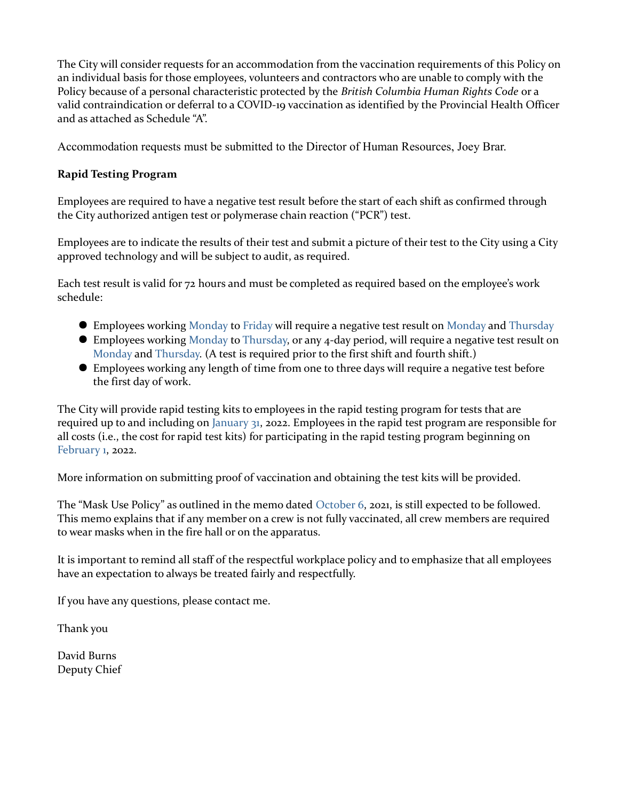The City will consider requests for an accommodation from the vaccination requirements of this Policy on an individual basis for those employees, volunteers and contractors who are unable to comply with the Policy because of a personal characteristic protected by the *British Columbia Human Rights Code* or a valid contraindication or deferral to a COVID-19 vaccination as identified by the Provincial Health Officer and as attached as Schedule "A".

Accommodation requests must be submitted to the Director of Human Resources, Joey Brar.

## **Rapid Testing Program**

Employees are required to have a negative test result before the start of each shift as confirmed through the City authorized antigen test or polymerase chain reaction ("PCR") test.

Employees are to indicate the results of their test and submit a picture of their test to the City using a City approved technology and will be subject to audit, as required.

Each test result is valid for 72 hours and must be completed as required based on the employee's work schedule:

- Employees working Monday to Friday will require a negative test result on Monday and Thursday
- Employees working Monday to Thursday, or any 4-day period, will require a negative test result on Monday and Thursday. (A test is required prior to the first shift and fourth shift.)
- Employees working any length of time from one to three days will require a negative test before the first day of work.

The City will provide rapid testing kits to employees in the rapid testing program for tests that are required up to and including on January 31, 2022. Employees in the rapid test program are responsible for all costs (i.e., the cost for rapid test kits) for participating in the rapid testing program beginning on February 1, 2022.

More information on submitting proof of vaccination and obtaining the test kits will be provided.

The "Mask Use Policy" as outlined in the memo dated October 6, 2021, is still expected to be followed. This memo explains that if any member on a crew is not fully vaccinated, all crew members are required to wear masks when in the fire hall or on the apparatus.

It is important to remind all staff of the respectful workplace policy and to emphasize that all employees have an expectation to always be treated fairly and respectfully.

If you have any questions, please contact me.

Thank you

David Burns Deputy Chief